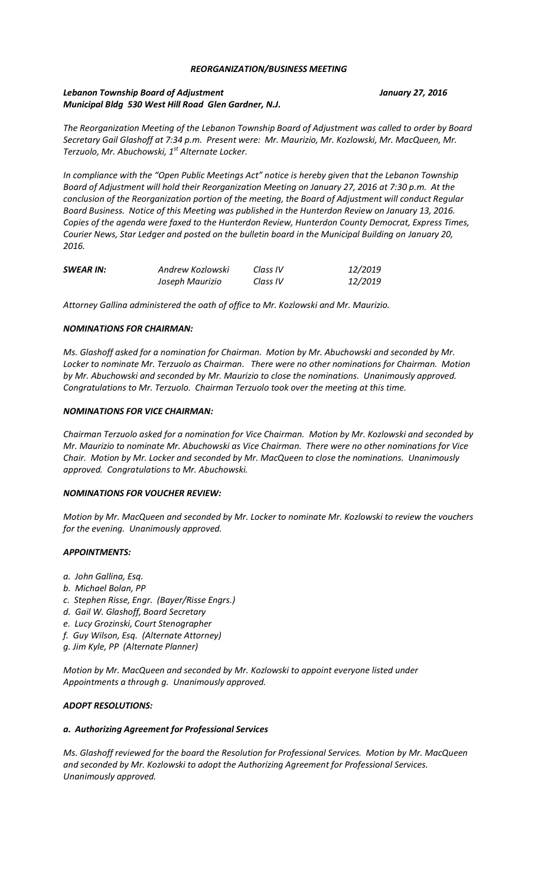## *REORGANIZATION/BUSINESS MEETING*

# *Lebanon Township Board of Adjustment January 27, 2016 Municipal Bldg 530 West Hill Road Glen Gardner, N.J.*

*The Reorganization Meeting of the Lebanon Township Board of Adjustment was called to order by Board Secretary Gail Glashoff at 7:34 p.m. Present were: Mr. Maurizio, Mr. Kozlowski, Mr. MacQueen, Mr. Terzuolo, Mr. Abuchowski, 1st Alternate Locker.* 

*In compliance with the "Open Public Meetings Act" notice is hereby given that the Lebanon Township Board of Adjustment will hold their Reorganization Meeting on January 27, 2016 at 7:30 p.m. At the conclusion of the Reorganization portion of the meeting, the Board of Adjustment will conduct Regular Board Business. Notice of this Meeting was published in the Hunterdon Review on January 13, 2016. Copies of the agenda were faxed to the Hunterdon Review, Hunterdon County Democrat, Express Times, Courier News, Star Ledger and posted on the bulletin board in the Municipal Building on January 20, 2016.*

| <b>SWEAR IN:</b> | Andrew Kozlowski | Class IV | 12/2019 |
|------------------|------------------|----------|---------|
|                  | Joseph Maurizio  | Class IV | 12/2019 |

*Attorney Gallina administered the oath of office to Mr. Kozlowski and Mr. Maurizio.*

## *NOMINATIONS FOR CHAIRMAN:*

*Ms. Glashoff asked for a nomination for Chairman. Motion by Mr. Abuchowski and seconded by Mr. Locker to nominate Mr. Terzuolo as Chairman. There were no other nominations for Chairman. Motion by Mr. Abuchowski and seconded by Mr. Maurizio to close the nominations. Unanimously approved. Congratulations to Mr. Terzuolo. Chairman Terzuolo took over the meeting at this time.*

## *NOMINATIONS FOR VICE CHAIRMAN:*

*Chairman Terzuolo asked for a nomination for Vice Chairman. Motion by Mr. Kozlowski and seconded by Mr. Maurizio to nominate Mr. Abuchowski as Vice Chairman. There were no other nominations for Vice Chair. Motion by Mr. Locker and seconded by Mr. MacQueen to close the nominations. Unanimously approved. Congratulations to Mr. Abuchowski.*

### *NOMINATIONS FOR VOUCHER REVIEW:*

*Motion by Mr. MacQueen and seconded by Mr. Locker to nominate Mr. Kozlowski to review the vouchers for the evening. Unanimously approved.* 

### *APPOINTMENTS:*

- *a. John Gallina, Esq.*
- *b. Michael Bolan, PP*
- *c. Stephen Risse, Engr. (Bayer/Risse Engrs.)*
- *d. Gail W. Glashoff, Board Secretary*
- *e. Lucy Grozinski, Court Stenographer*
- *f. Guy Wilson, Esq. (Alternate Attorney)*
- *g. Jim Kyle, PP (Alternate Planner)*

*Motion by Mr. MacQueen and seconded by Mr. Kozlowski to appoint everyone listed under Appointments a through g. Unanimously approved.*

# *ADOPT RESOLUTIONS:*

### *a. Authorizing Agreement for Professional Services*

*Ms. Glashoff reviewed for the board the Resolution for Professional Services. Motion by Mr. MacQueen and seconded by Mr. Kozlowski to adopt the Authorizing Agreement for Professional Services. Unanimously approved.*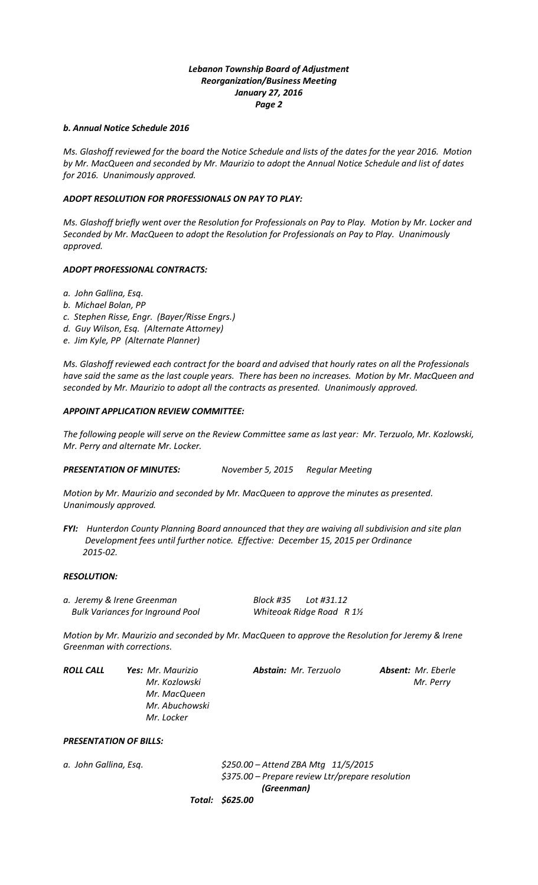# *Lebanon Township Board of Adjustment Reorganization/Business Meeting January 27, 2016 Page 2*

# *b. Annual Notice Schedule 2016*

*Ms. Glashoff reviewed for the board the Notice Schedule and lists of the dates for the year 2016. Motion by Mr. MacQueen and seconded by Mr. Maurizio to adopt the Annual Notice Schedule and list of dates for 2016. Unanimously approved.*

## *ADOPT RESOLUTION FOR PROFESSIONALS ON PAY TO PLAY:*

*Ms. Glashoff briefly went over the Resolution for Professionals on Pay to Play. Motion by Mr. Locker and Seconded by Mr. MacQueen to adopt the Resolution for Professionals on Pay to Play. Unanimously approved.*

## *ADOPT PROFESSIONAL CONTRACTS:*

- *a. John Gallina, Esq.*
- *b. Michael Bolan, PP*
- *c. Stephen Risse, Engr. (Bayer/Risse Engrs.)*
- *d. Guy Wilson, Esq. (Alternate Attorney)*
- *e. Jim Kyle, PP (Alternate Planner)*

*Ms. Glashoff reviewed each contract for the board and advised that hourly rates on all the Professionals have said the same as the last couple years. There has been no increases. Motion by Mr. MacQueen and seconded by Mr. Maurizio to adopt all the contracts as presented. Unanimously approved.*

### *APPOINT APPLICATION REVIEW COMMITTEE:*

*The following people will serve on the Review Committee same as last year: Mr. Terzuolo, Mr. Kozlowski, Mr. Perry and alternate Mr. Locker.*

*PRESENTATION OF MINUTES: November 5, 2015 Regular Meeting* 

*Motion by Mr. Maurizio and seconded by Mr. MacQueen to approve the minutes as presented. Unanimously approved.*

*FYI: Hunterdon County Planning Board announced that they are waiving all subdivision and site plan Development fees until further notice. Effective: December 15, 2015 per Ordinance 2015-02.*

### *RESOLUTION:*

*a. Jeremy & Irene Greenman Block #35 Lot #31.12 Bulk Variances for Inground Pool Whiteoak Ridge Road R 1½* 

*Motion by Mr. Maurizio and seconded by Mr. MacQueen to approve the Resolution for Jeremy & Irene Greenman with corrections.*

| ROLL CALL | <b>Yes:</b> Mr. Maurizio | <b>Abstain:</b> Mr. Terzuolo | <b>Absent:</b> Mr. Eberle |
|-----------|--------------------------|------------------------------|---------------------------|
|           | Mr. Kozlowski            |                              | Mr. Perry                 |
|           | Mr. MacQueen             |                              |                           |
|           | Mr. Abuchowski           |                              |                           |
|           | Mr. Locker               |                              |                           |

## *PRESENTATION OF BILLS:*

*a. John Gallina, Esq. \$250.00 – Attend ZBA Mtg 11/5/2015 \$375.00 – Prepare review Ltr/prepare resolution (Greenman)*

*Total: \$625.00*